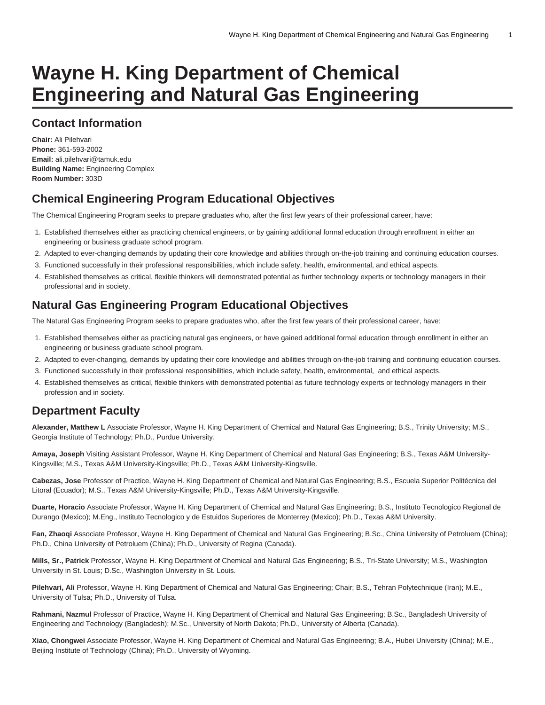# **Wayne H. King Department of Chemical Engineering and Natural Gas Engineering**

### **Contact Information**

**Chair:** Ali Pilehvari **Phone:** 361-593-2002 **Email:** [ali.pilehvari@tamuk.edu](mailto:ali.pilehvari@tamuk.edu) **Building Name:** Engineering Complex **Room Number:** 303D

### **Chemical Engineering Program Educational Objectives**

The Chemical Engineering Program seeks to prepare graduates who, after the first few years of their professional career, have:

- 1. Established themselves either as practicing chemical engineers, or by gaining additional formal education through enrollment in either an engineering or business graduate school program.
- 2. Adapted to ever-changing demands by updating their core knowledge and abilities through on-the-job training and continuing education courses.
- 3. Functioned successfully in their professional responsibilities, which include safety, health, environmental, and ethical aspects.
- 4. Established themselves as critical, flexible thinkers will demonstrated potential as further technology experts or technology managers in their professional and in society.

### **Natural Gas Engineering Program Educational Objectives**

The Natural Gas Engineering Program seeks to prepare graduates who, after the first few years of their professional career, have:

- 1. Established themselves either as practicing natural gas engineers, or have gained additional formal education through enrollment in either an engineering or business graduate school program.
- 2. Adapted to ever-changing, demands by updating their core knowledge and abilities through on-the-job training and continuing education courses.
- 3. Functioned successfully in their professional responsibilities, which include safety, health, environmental, and ethical aspects.
- 4. Established themselves as critical, flexible thinkers with demonstrated potential as future technology experts or technology managers in their profession and in society.

### **Department Faculty**

**Alexander, Matthew L** Associate Professor, Wayne H. King Department of Chemical and Natural Gas Engineering; B.S., Trinity University; M.S., Georgia Institute of Technology; Ph.D., Purdue University.

**Amaya, Joseph** Visiting Assistant Professor, Wayne H. King Department of Chemical and Natural Gas Engineering; B.S., Texas A&M University-Kingsville; M.S., Texas A&M University-Kingsville; Ph.D., Texas A&M University-Kingsville.

**Cabezas, Jose** Professor of Practice, Wayne H. King Department of Chemical and Natural Gas Engineering; B.S., Escuela Superior Politécnica del Litoral (Ecuador); M.S., Texas A&M University-Kingsville; Ph.D., Texas A&M University-Kingsville.

**Duarte, Horacio** Associate Professor, Wayne H. King Department of Chemical and Natural Gas Engineering; B.S., Instituto Tecnologico Regional de Durango (Mexico); M.Eng., Instituto Tecnologico y de Estuidos Superiores de Monterrey (Mexico); Ph.D., Texas A&M University.

**Fan, Zhaoqi** Associate Professor, Wayne H. King Department of Chemical and Natural Gas Engineering; B.Sc., China University of Petroluem (China); Ph.D., China University of Petroluem (China); Ph.D., University of Regina (Canada).

**Mills, Sr., Patrick** Professor, Wayne H. King Department of Chemical and Natural Gas Engineering; B.S., Tri-State University; M.S., Washington University in St. Louis; D.Sc., Washington University in St. Louis.

**Pilehvari, Ali** Professor, Wayne H. King Department of Chemical and Natural Gas Engineering; Chair; B.S., Tehran Polytechnique (Iran); M.E., University of Tulsa; Ph.D., University of Tulsa.

**Rahmani, Nazmul** Professor of Practice, Wayne H. King Department of Chemical and Natural Gas Engineering; B.Sc., Bangladesh University of Engineering and Technology (Bangladesh); M.Sc., University of North Dakota; Ph.D., University of Alberta (Canada).

**Xiao, Chongwei** Associate Professor, Wayne H. King Department of Chemical and Natural Gas Engineering; B.A., Hubei University (China); M.E., Beijing Institute of Technology (China); Ph.D., University of Wyoming.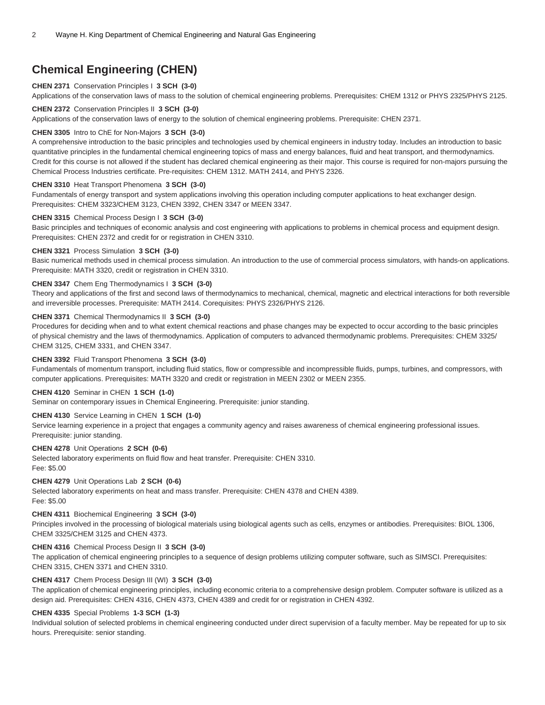### **Chemical Engineering (CHEN)**

#### **CHEN 2371** Conservation Principles I **3 SCH (3-0)** Applications of the conservation laws of mass to the solution of chemical engineering problems. Prerequisites: CHEM 1312 or PHYS 2325/PHYS 2125.

#### **CHEN 2372** Conservation Principles II **3 SCH (3-0)**

Applications of the conservation laws of energy to the solution of chemical engineering problems. Prerequisite: CHEN 2371.

#### **CHEN 3305** Intro to ChE for Non-Majors **3 SCH (3-0)**

A comprehensive introduction to the basic principles and technologies used by chemical engineers in industry today. Includes an introduction to basic quantitative principles in the fundamental chemical engineering topics of mass and energy balances, fluid and heat transport, and thermodynamics. Credit for this course is not allowed if the student has declared chemical engineering as their major. This course is required for non-majors pursuing the Chemical Process Industries certificate. Pre-requisites: CHEM 1312. MATH 2414, and PHYS 2326.

#### **CHEN 3310** Heat Transport Phenomena **3 SCH (3-0)**

Fundamentals of energy transport and system applications involving this operation including computer applications to heat exchanger design. Prerequisites: CHEM 3323/CHEM 3123, CHEN 3392, CHEN 3347 or MEEN 3347.

#### **CHEN 3315** Chemical Process Design I **3 SCH (3-0)**

Basic principles and techniques of economic analysis and cost engineering with applications to problems in chemical process and equipment design. Prerequisites: CHEN 2372 and credit for or registration in CHEN 3310.

#### **CHEN 3321** Process Simulation **3 SCH (3-0)**

Basic numerical methods used in chemical process simulation. An introduction to the use of commercial process simulators, with hands-on applications. Prerequisite: MATH 3320, credit or registration in CHEN 3310.

#### **CHEN 3347** Chem Eng Thermodynamics I **3 SCH (3-0)**

Theory and applications of the first and second laws of thermodynamics to mechanical, chemical, magnetic and electrical interactions for both reversible and irreversible processes. Prerequisite: MATH 2414. Corequisites: PHYS 2326/PHYS 2126.

#### **CHEN 3371** Chemical Thermodynamics II **3 SCH (3-0)**

Procedures for deciding when and to what extent chemical reactions and phase changes may be expected to occur according to the basic principles of physical chemistry and the laws of thermodynamics. Application of computers to advanced thermodynamic problems. Prerequisites: CHEM 3325/ CHEM 3125, CHEM 3331, and CHEN 3347.

#### **CHEN 3392** Fluid Transport Phenomena **3 SCH (3-0)**

Fundamentals of momentum transport, including fluid statics, flow or compressible and incompressible fluids, pumps, turbines, and compressors, with computer applications. Prerequisites: MATH 3320 and credit or registration in MEEN 2302 or MEEN 2355.

#### **CHEN 4120** Seminar in CHEN **1 SCH (1-0)**

Seminar on contemporary issues in Chemical Engineering. Prerequisite: junior standing.

#### **CHEN 4130** Service Learning in CHEN **1 SCH (1-0)**

Service learning experience in a project that engages a community agency and raises awareness of chemical engineering professional issues. Prerequisite: junior standing.

#### **CHEN 4278** Unit Operations **2 SCH (0-6)**

Selected laboratory experiments on fluid flow and heat transfer. Prerequisite: CHEN 3310. Fee: \$5.00

#### **CHEN 4279** Unit Operations Lab **2 SCH (0-6)**

Selected laboratory experiments on heat and mass transfer. Prerequisite: CHEN 4378 and CHEN 4389. Fee: \$5.00

#### **CHEN 4311** Biochemical Engineering **3 SCH (3-0)**

Principles involved in the processing of biological materials using biological agents such as cells, enzymes or antibodies. Prerequisites: BIOL 1306, CHEM 3325/CHEM 3125 and CHEN 4373.

#### **CHEN 4316** Chemical Process Design II **3 SCH (3-0)**

The application of chemical engineering principles to a sequence of design problems utilizing computer software, such as SIMSCI. Prerequisites: CHEN 3315, CHEN 3371 and CHEN 3310.

#### **CHEN 4317** Chem Process Design III (WI) **3 SCH (3-0)**

The application of chemical engineering principles, including economic criteria to a comprehensive design problem. Computer software is utilized as a design aid. Prerequisites: CHEN 4316, CHEN 4373, CHEN 4389 and credit for or registration in CHEN 4392.

#### **CHEN 4335** Special Problems **1-3 SCH (1-3)**

Individual solution of selected problems in chemical engineering conducted under direct supervision of a faculty member. May be repeated for up to six hours. Prerequisite: senior standing.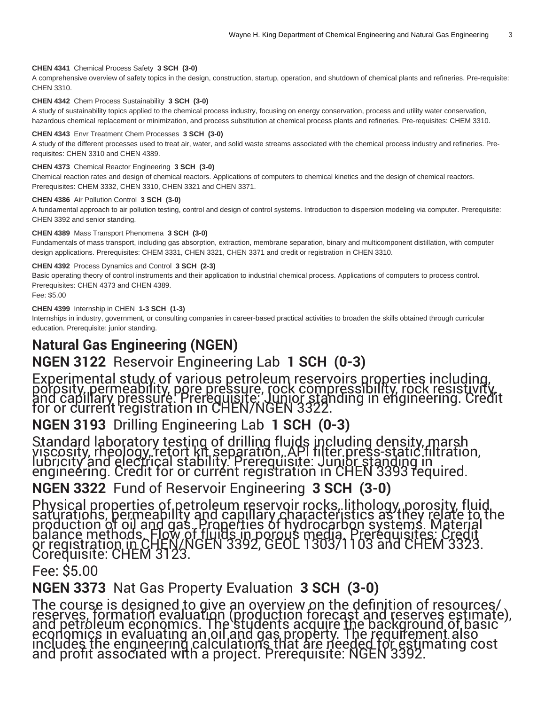#### **CHEN 4341** Chemical Process Safety **3 SCH (3-0)**

A comprehensive overview of safety topics in the design, construction, startup, operation, and shutdown of chemical plants and refineries. Pre-requisite: CHEN 3310.

#### **CHEN 4342** Chem Process Sustainability **3 SCH (3-0)**

A study of sustainability topics applied to the chemical process industry, focusing on energy conservation, process and utility water conservation, hazardous chemical replacement or minimization, and process substitution at chemical process plants and refineries. Pre-requisites: CHEM 3310.

#### **CHEN 4343** Envr Treatment Chem Processes **3 SCH (3-0)**

A study of the different processes used to treat air, water, and solid waste streams associated with the chemical process industry and refineries. Prerequisites: CHEN 3310 and CHEN 4389.

#### **CHEN 4373** Chemical Reactor Engineering **3 SCH (3-0)**

Chemical reaction rates and design of chemical reactors. Applications of computers to chemical kinetics and the design of chemical reactors. Prerequisites: CHEM 3332, CHEN 3310, CHEN 3321 and CHEN 3371.

#### **CHEN 4386** Air Pollution Control **3 SCH (3-0)**

A fundamental approach to air pollution testing, control and design of control systems. Introduction to dispersion modeling via computer. Prerequisite: CHEN 3392 and senior standing.

#### **CHEN 4389** Mass Transport Phenomena **3 SCH (3-0)**

Fundamentals of mass transport, including gas absorption, extraction, membrane separation, binary and multicomponent distillation, with computer design applications. Prerequisites: CHEM 3331, CHEN 3321, CHEN 3371 and credit or registration in CHEN 3310.

#### **CHEN 4392** Process Dynamics and Control **3 SCH (2-3)**

Basic operating theory of control instruments and their application to industrial chemical process. Applications of computers to process control. Prerequisites: CHEN 4373 and CHEN 4389.

#### Fee: \$5.00

#### **CHEN 4399** Internship in CHEN **1-3 SCH (1-3)**

Internships in industry, government, or consulting companies in career-based practical activities to broaden the skills obtained through curricular education. Prerequisite: junior standing.

## **Natural Gas Engineering (NGEN)**

### **NGEN 3122** Reservoir Engineering Lab **1 SCH (0-3)**

Experimental study of various petroleum reservoirs properties including, porosity, permeability, pore pressure, rock compressibility, rock resistivity, and capillary pressure. Prerequisite: Junior standing in engineering. Credit for or current registration in CHEN/NGEN 3322.

### **NGEN 3193** Drilling Engineering Lab **1 SCH (0-3)**

Standard laboratory testing of drilling fluids including density, marsh viscosity, rheology, retort kit separation, API filter press-static filtration, lubricity and electrical stability. Prerequisite: Junior standing in engineering. Credit for or current registration in CHEN 3393 required.

### **NGEN 3322** Fund of Reservoir Engineering **3 SCH (3-0)**

Physical properties of petroleum reservoir rocks, lithology, porosity, fluid saturations, permeability and capillary characteristics as they relate to the production of oil and gas. Properties of hydrocarbon systems. Material balance methods. Flow of fluids in porous media. Prerequisites: Credit or registration in CHEN[/NGEN 3392](/search/?P=NGEN%203392), [GEOL 1303](/search/?P=GEOL%201303)/1103 and [CHEM 3323](/search/?P=CHEM%203323). Corequisite: [CHEM 3123](/search/?P=CHEM%203123).

### Fee: \$5.00

**NGEN 3373** Nat Gas Property Evaluation **3 SCH (3-0)**

The course is designed to give an overview on the definition of resources/ reserves, formation evaluation (production forecast and reserves estimate), and petroleum economics. The students acquire the background of basic economics in evaluating an oil and gas property. The requirement also includes the engineering calculations that are needed for estimating cost and profit associated with a project. Prerequisite: [NGEN 3392.](/search/?P=NGEN%203392)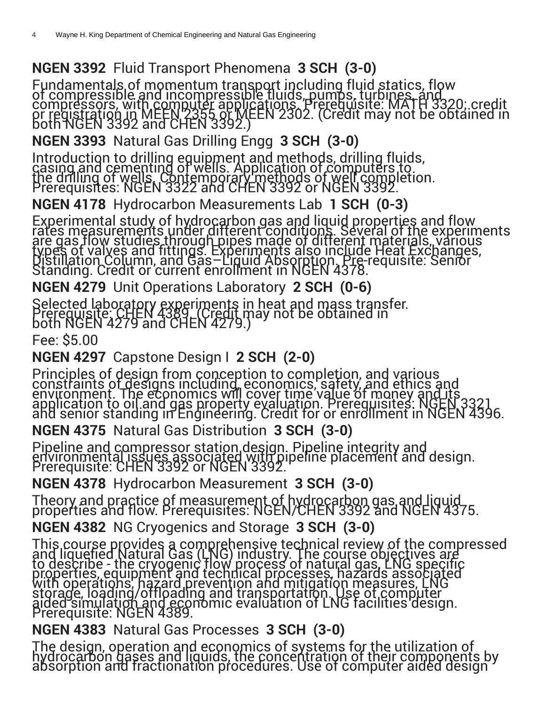# **NGEN 3392** Fluid Transport Phenomena **3 SCH (3-0)**

Fundamentals of momentum transport including fluid statics, flow of compressible and incompressible fluids, pumps, turbines, and compressors, with computer applications. Prerequisite: [MATH](/search/?P=MATH%203320) 3320; credit or registration in [MEEN 2355](/search/?P=MEEN%202355) or [MEEN 2302.](/search/?P=MEEN%202302) (Credit may not be obtained in both [NGEN 3392](/search/?P=NGEN%203392) and [CHEN 3392.](/search/?P=CHEN%203392))

**NGEN 3393** Natural Gas Drilling Engg **3 SCH (3-0)**

Introduction to drilling equipment and methods, drilling fluids, casing and cementing of wells. Application of computers to the drilling of wells. Contemporary methods of well completion. Prerequisites: [NGEN 3322](/search/?P=NGEN%203322) and [CHEN 3392](/search/?P=CHEN%203392) or [NGEN 3392](/search/?P=NGEN%203392).

**NGEN 4178** Hydrocarbon Measurements Lab **1 SCH (0-3)**

Experimental study of hydrocarbon gas and liquid properties and flow rates measurements under different conditions. Several of the experiments are gas flow studies through pipes made of different materials, various types of valves and fittings. Experiments also include Heat Exchanges, Distillation Column, and Gas–Liquid Absorption. Pre-requisite: Senior Standing. Credit or current enrollment in [NGEN 4378](/search/?P=NGEN%204378).

**NGEN 4279** Unit Operations Laboratory **2 SCH (0-6)**

Selected laboratory experiments in heat and mass transfer. Prerequisite: [CHEN 4389.](/search/?P=CHEN%204389) (Credit may not be obtained in both [NGEN 4279](/search/?P=NGEN%204279) and [CHEN 4279.](/search/?P=CHEN%204279))

Fee: \$5.00

# **NGEN 4297** Capstone Design I **2 SCH (2-0)**

Principles of design from conception to completion, and various constraints of designs including, economics, safety, and ethics and environment. The economics will cover time value of money and its application to oil and gas property evaluation. Prerequisites: NGEN 3321 and senior standing in Engineering. Credit for or enrollment in [NGEN 4396.](/search/?P=NGEN%204396)

**NGEN 4375** Natural Gas Distribution **3 SCH (3-0)**

Pipeline and compressor station design. Pipeline integrity and environmental issues associated with pipeline placement and design. Prerequisite: [CHEN 3392](/search/?P=CHEN%203392) or [NGEN 3392](/search/?P=NGEN%203392).

**NGEN 4378** Hydrocarbon Measurement **3 SCH (3-0)**

Theory and practice of measurement of hydrocarbon gas and liquid properties and flow. Prerequisites: NGEN[/CHEN 3392](/search/?P=CHEN%203392) and [NGEN 4375](/search/?P=NGEN%204375).

**NGEN 4382** NG Cryogenics and Storage **3 SCH (3-0)**

This course provides a comprehensive technical review of the compressed and liquefied Natural Gas (LNG) industry. The course objectives are to describe - the cryogenic flow process of natural gas, LNG specific properties, equipment and technical processes, hazards associated with operations, hazard prevention and mitigation measures, LNG storage, loading/offloading and transportation. Use of computer aided simulation and economic evaluation of LNG facilities design. Prerequisite: [NGEN 4389](/search/?P=NGEN%204389).

**NGEN 4383** Natural Gas Processes **3 SCH (3-0)**

The design, operation and economics of systems for the utilization of<br>hydrocarbon gases and liquids, the concentration of their components by absorption and fractionation procedures. Use of computer aided design